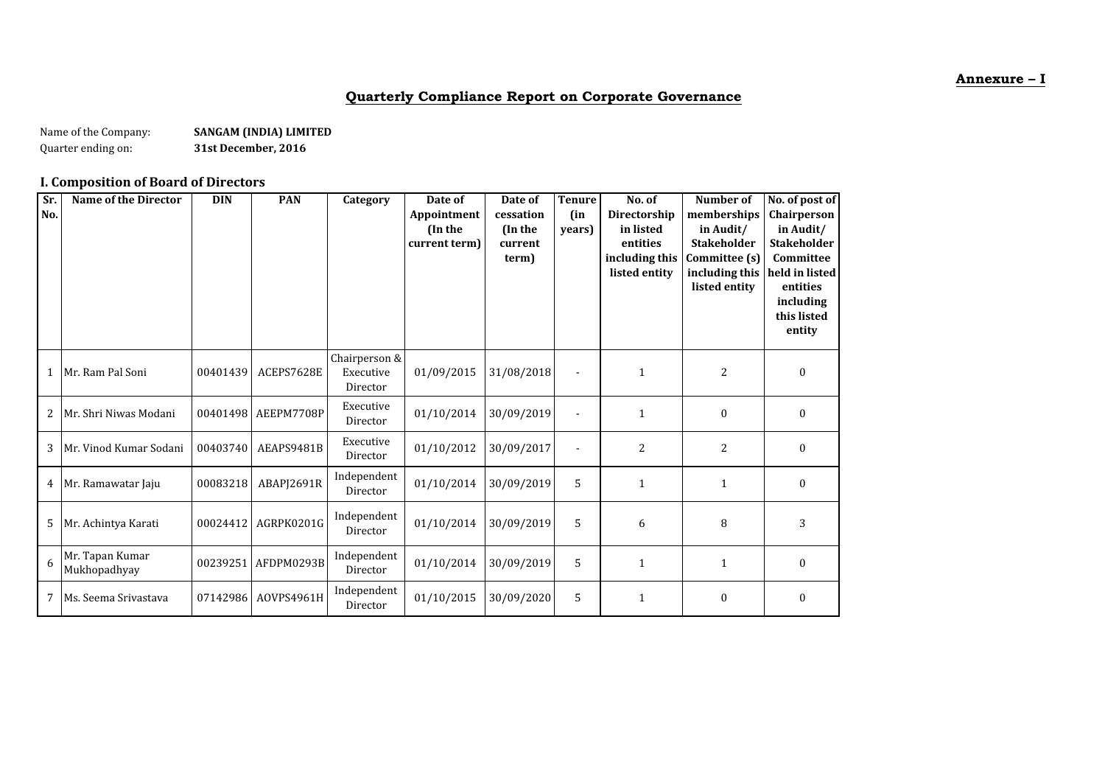#### **Annexure – I**

## **Quarterly Compliance Report on Corporate Governance**

Name of the Company: **SANGAM (INDIA) LIMITED**<br>Quarter ending on: **S1st December, 2016** Quarter ending on: **31st December, 2016**

## **I. Composition of Board of Directors**

| Sr.<br>No. | <b>Name of the Director</b>     | <b>DIN</b> | <b>PAN</b>          | Category                               | Date of<br>Appointment<br>(In the<br>current term) | Date of<br>cessation<br>(In the<br>current<br>term) | <b>Tenure</b><br>(in<br>years) | No. of<br>Directorship<br>in listed<br>entities<br>including this<br>listed entity | <b>Number of</b><br>memberships<br>in Audit/<br><b>Stakeholder</b><br>Committee (s)<br>including this<br>listed entity | No. of post of<br>Chairperson<br>in Audit/<br><b>Stakeholder</b><br>Committee<br>held in listed<br>entities<br>including<br>this listed<br>entity |
|------------|---------------------------------|------------|---------------------|----------------------------------------|----------------------------------------------------|-----------------------------------------------------|--------------------------------|------------------------------------------------------------------------------------|------------------------------------------------------------------------------------------------------------------------|---------------------------------------------------------------------------------------------------------------------------------------------------|
|            | 1   Mr. Ram Pal Soni            | 00401439   | ACEPS7628E          | Chairperson &<br>Executive<br>Director | 01/09/2015                                         | 31/08/2018                                          |                                | $\mathbf{1}$                                                                       | $\overline{2}$                                                                                                         | $\boldsymbol{0}$                                                                                                                                  |
| 2          | Mr. Shri Niwas Modani           |            | 00401498 AEEPM7708P | Executive<br>Director                  | 01/10/2014                                         | 30/09/2019                                          |                                | $\mathbf{1}$                                                                       | $\boldsymbol{0}$                                                                                                       | $\boldsymbol{0}$                                                                                                                                  |
| 3          | Mr. Vinod Kumar Sodani          | 00403740   | AEAPS9481B          | Executive<br>Director                  | 01/10/2012                                         | 30/09/2017                                          |                                | $\overline{c}$                                                                     | $\overline{2}$                                                                                                         | $\boldsymbol{0}$                                                                                                                                  |
|            | 4 Mr. Ramawatar Jaju            | 00083218   | ABAPI2691R          | Independent<br>Director                | 01/10/2014                                         | 30/09/2019                                          | 5                              | $\mathbf{1}$                                                                       | $\mathbf{1}$                                                                                                           | $\boldsymbol{0}$                                                                                                                                  |
| 5          | Mr. Achintya Karati             |            | 00024412 AGRPK0201G | Independent<br>Director                | 01/10/2014                                         | 30/09/2019                                          | 5                              | 6                                                                                  | 8                                                                                                                      | 3                                                                                                                                                 |
| 6          | Mr. Tapan Kumar<br>Mukhopadhyay |            | 00239251 AFDPM0293B | Independent<br>Director                | 01/10/2014                                         | 30/09/2019                                          | 5                              | $\mathbf{1}$                                                                       | $\mathbf{1}$                                                                                                           | $\boldsymbol{0}$                                                                                                                                  |
| 7          | Ms. Seema Srivastava            |            | 07142986 AOVPS4961H | Independent<br>Director                | 01/10/2015                                         | 30/09/2020                                          | 5                              | $\mathbf{1}$                                                                       | $\boldsymbol{0}$                                                                                                       | $\boldsymbol{0}$                                                                                                                                  |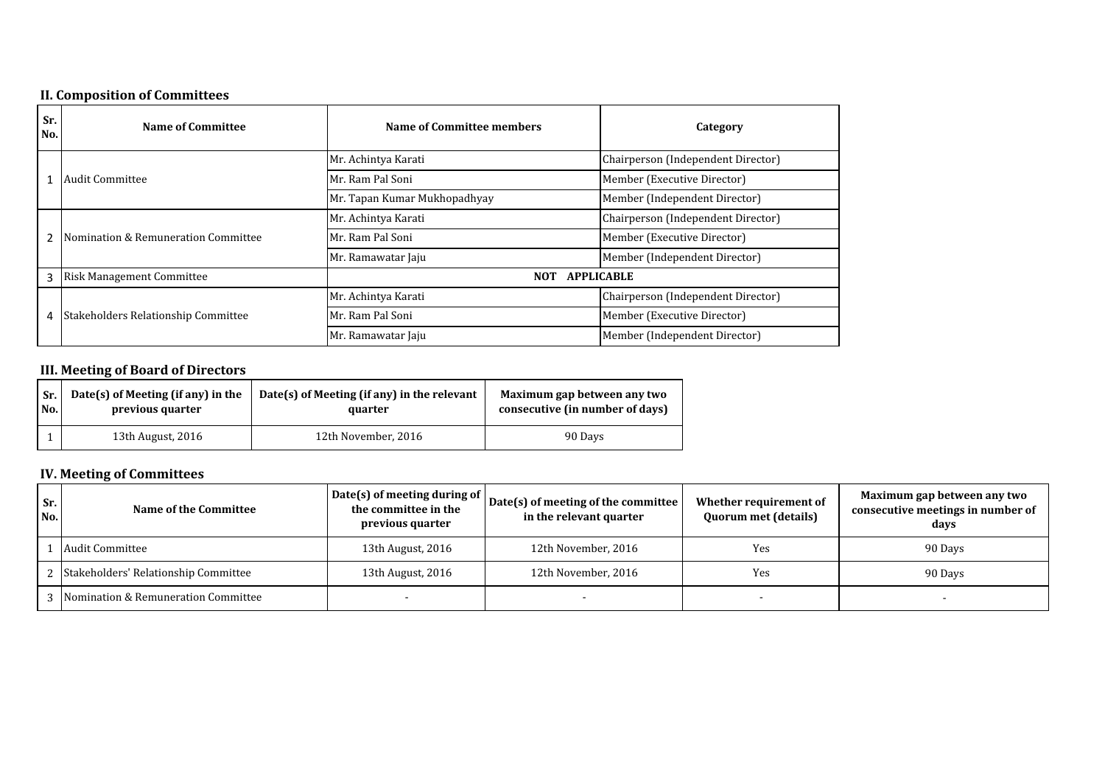# **II. Composition of Committees**

|            | m componaen er committees           |                                 |                                    |  |
|------------|-------------------------------------|---------------------------------|------------------------------------|--|
| Sr.<br>No. | <b>Name of Committee</b>            | Name of Committee members       | Category                           |  |
|            |                                     | Mr. Achintya Karati             | Chairperson (Independent Director) |  |
| 1          | Audit Committee                     | Mr. Ram Pal Soni                | Member (Executive Director)        |  |
|            |                                     | Mr. Tapan Kumar Mukhopadhyay    | Member (Independent Director)      |  |
|            |                                     | Mr. Achintya Karati             | Chairperson (Independent Director) |  |
|            | Nomination & Remuneration Committee | Mr. Ram Pal Soni                | Member (Executive Director)        |  |
|            |                                     | Mr. Ramawatar Jaju              | Member (Independent Director)      |  |
| 3          | <b>Risk Management Committee</b>    | <b>APPLICABLE</b><br><b>NOT</b> |                                    |  |
|            |                                     | Mr. Achintya Karati             | Chairperson (Independent Director) |  |
| 4          | Stakeholders Relationship Committee | Mr. Ram Pal Soni                | Member (Executive Director)        |  |
|            |                                     | Mr. Ramawatar Jaju              | Member (Independent Director)      |  |

## **III. Meeting of Board of Directors**

| Date(s) of Meeting (if any) in the<br>Sr.<br>No.<br>previous quarter |  |                   | Date(s) of Meeting (if any) in the relevant<br>quarter | Maximum gap between any two<br>consecutive (in number of days) |  |
|----------------------------------------------------------------------|--|-------------------|--------------------------------------------------------|----------------------------------------------------------------|--|
|                                                                      |  | 13th August, 2016 | 12th November, 2016                                    | 90 Days                                                        |  |

# **IV. Meeting of Committees**

| Sr.<br>No. | Name of the Committee                  | Date(s) of meeting during of<br>the committee in the<br>previous quarter | Date(s) of meeting of the committee<br>in the relevant quarter | Whether requirement of<br><b>Quorum met (details)</b> | Maximum gap between any two<br>consecutive meetings in number of<br>davs |
|------------|----------------------------------------|--------------------------------------------------------------------------|----------------------------------------------------------------|-------------------------------------------------------|--------------------------------------------------------------------------|
|            | Audit Committee                        | 13th August, 2016                                                        | 12th November, 2016                                            | Yes                                                   | 90 Days                                                                  |
|            | 2 Stakeholders' Relationship Committee | 13th August, 2016                                                        | 12th November, 2016                                            | Yes                                                   | 90 Days                                                                  |
|            | 3 Nomination & Remuneration Committee  |                                                                          |                                                                |                                                       |                                                                          |